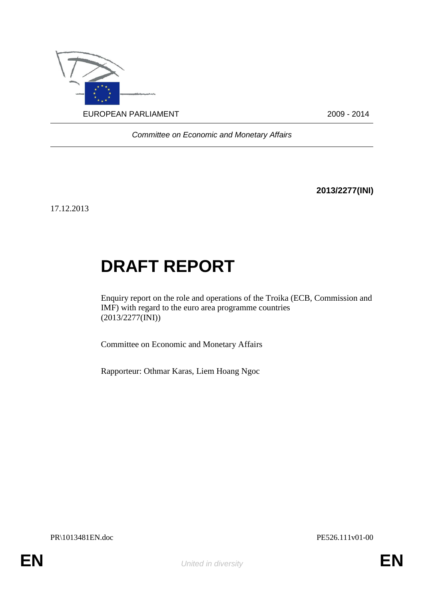

*Committee on Economic and Monetary Affairs*

**2013/2277(INI)**

17.12.2013

# **DRAFT REPORT**

Enquiry report on the role and operations of the Troika (ECB, Commission and IMF) with regard to the euro area programme countries (2013/2277(INI))

Committee on Economic and Monetary Affairs

Rapporteur: Othmar Karas, Liem Hoang Ngoc

PR\1013481EN.doc PE526.111v01-00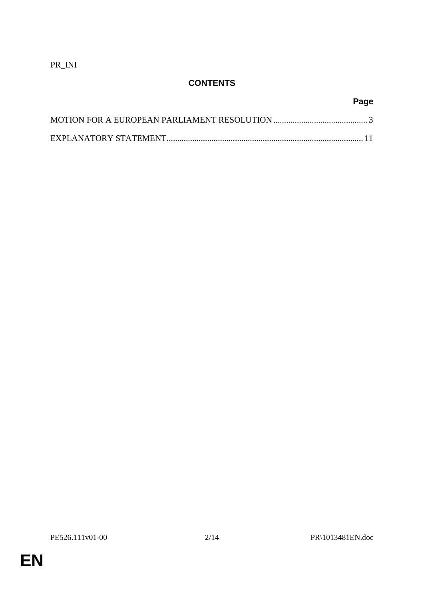PR\_INI

## **CONTENTS**

| Page |
|------|
|      |
|      |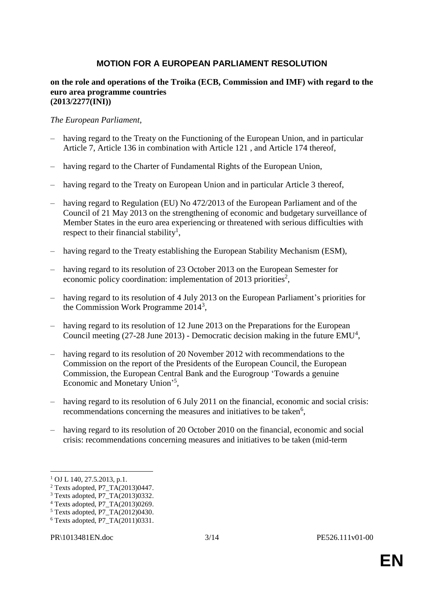## **MOTION FOR A EUROPEAN PARLIAMENT RESOLUTION**

#### **on the role and operations of the Troika (ECB, Commission and IMF) with regard to the euro area programme countries (2013/2277(INI))**

#### *The European Parliament*,

- having regard to the Treaty on the Functioning of the European Union, and in particular Article 7, Article 136 in combination with Article 121 , and Article 174 thereof,
- having regard to the Charter of Fundamental Rights of the European Union,
- having regard to the Treaty on European Union and in particular Article 3 thereof,
- having regard to Regulation (EU) No 472/2013 of the European Parliament and of the Council of 21 May 2013 on the strengthening of economic and budgetary surveillance of Member States in the euro area experiencing or threatened with serious difficulties with respect to their financial stability<sup>1</sup>,
- having regard to the Treaty establishing the European Stability Mechanism (ESM),
- having regard to its resolution of 23 October 2013 on the European Semester for economic policy coordination: implementation of 2013 priorities<sup>2</sup>,
- having regard to its resolution of 4 July 2013 on the European Parliament's priorities for the Commission Work Programme 2014<sup>3</sup>,
- having regard to its resolution of 12 June 2013 on the Preparations for the European Council meeting (27-28 June 2013) - Democratic decision making in the future  $EMU<sup>4</sup>$ ,
- having regard to its resolution of 20 November 2012 with recommendations to the Commission on the report of the Presidents of the European Council, the European Commission, the European Central Bank and the Eurogroup 'Towards a genuine Economic and Monetary Union'<sup>5</sup>,
- having regard to its resolution of 6 July 2011 on the financial, economic and social crisis: recommendations concerning the measures and initiatives to be taken $6$ ,
- having regard to its resolution of 20 October 2010 on the financial, economic and social crisis: recommendations concerning measures and initiatives to be taken (mid-term

1

<sup>1</sup> OJ L 140, 27.5.2013, p.1.

<sup>2</sup> Texts adopted, P7\_TA(2013)0447.

 $3$  Texts adopted, P7\_TA(2013)0332.

<sup>4</sup> Texts adopted, P7\_TA(2013)0269.

<sup>5</sup> Texts adopted, P7\_TA(2012)0430.

 $6$  Texts adopted, P7\_TA $(2011)0331$ .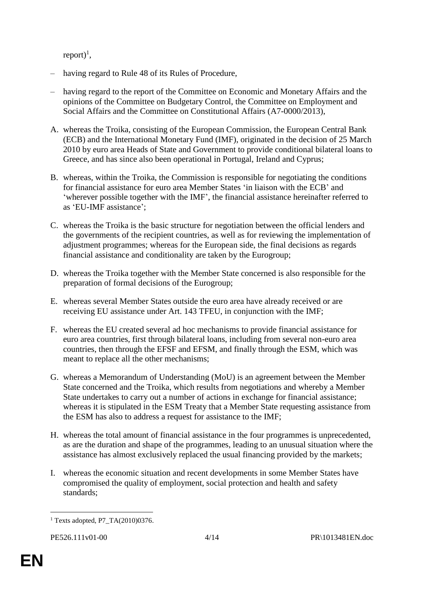$report)^1$ ,

- having regard to Rule 48 of its Rules of Procedure,
- having regard to the report of the Committee on Economic and Monetary Affairs and the opinions of the Committee on Budgetary Control, the Committee on Employment and Social Affairs and the Committee on Constitutional Affairs (A7-0000/2013),
- A. whereas the Troika, consisting of the European Commission, the European Central Bank (ECB) and the International Monetary Fund (IMF), originated in the decision of 25 March 2010 by euro area Heads of State and Government to provide conditional bilateral loans to Greece, and has since also been operational in Portugal, Ireland and Cyprus;
- B. whereas, within the Troika, the Commission is responsible for negotiating the conditions for financial assistance for euro area Member States 'in liaison with the ECB' and 'wherever possible together with the IMF', the financial assistance hereinafter referred to as 'EU-IMF assistance';
- C. whereas the Troika is the basic structure for negotiation between the official lenders and the governments of the recipient countries, as well as for reviewing the implementation of adjustment programmes; whereas for the European side, the final decisions as regards financial assistance and conditionality are taken by the Eurogroup;
- D. whereas the Troika together with the Member State concerned is also responsible for the preparation of formal decisions of the Eurogroup;
- E. whereas several Member States outside the euro area have already received or are receiving EU assistance under Art. 143 TFEU, in conjunction with the IMF;
- F. whereas the EU created several ad hoc mechanisms to provide financial assistance for euro area countries, first through bilateral loans, including from several non-euro area countries, then through the EFSF and EFSM, and finally through the ESM, which was meant to replace all the other mechanisms;
- G. whereas a Memorandum of Understanding (MoU) is an agreement between the Member State concerned and the Troika, which results from negotiations and whereby a Member State undertakes to carry out a number of actions in exchange for financial assistance; whereas it is stipulated in the ESM Treaty that a Member State requesting assistance from the ESM has also to address a request for assistance to the IMF;
- H. whereas the total amount of financial assistance in the four programmes is unprecedented, as are the duration and shape of the programmes, leading to an unusual situation where the assistance has almost exclusively replaced the usual financing provided by the markets;
- I. whereas the economic situation and recent developments in some Member States have compromised the quality of employment, social protection and health and safety standards;

<sup>1</sup> <sup>1</sup> Texts adopted, P7\_TA(2010)0376.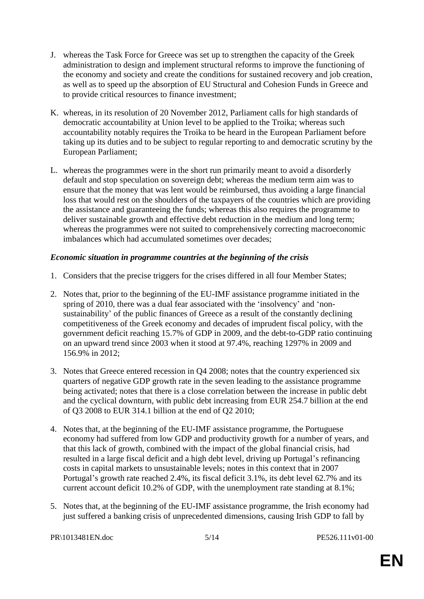- J. whereas the Task Force for Greece was set up to strengthen the capacity of the Greek administration to design and implement structural reforms to improve the functioning of the economy and society and create the conditions for sustained recovery and job creation, as well as to speed up the absorption of EU Structural and Cohesion Funds in Greece and to provide critical resources to finance investment;
- K. whereas, in its resolution of 20 November 2012, Parliament calls for high standards of democratic accountability at Union level to be applied to the Troika; whereas such accountability notably requires the Troika to be heard in the European Parliament before taking up its duties and to be subject to regular reporting to and democratic scrutiny by the European Parliament;
- L. whereas the programmes were in the short run primarily meant to avoid a disorderly default and stop speculation on sovereign debt; whereas the medium term aim was to ensure that the money that was lent would be reimbursed, thus avoiding a large financial loss that would rest on the shoulders of the taxpayers of the countries which are providing the assistance and guaranteeing the funds; whereas this also requires the programme to deliver sustainable growth and effective debt reduction in the medium and long term; whereas the programmes were not suited to comprehensively correcting macroeconomic imbalances which had accumulated sometimes over decades;

#### *Economic situation in programme countries at the beginning of the crisis*

- 1. Considers that the precise triggers for the crises differed in all four Member States;
- 2. Notes that, prior to the beginning of the EU-IMF assistance programme initiated in the spring of 2010, there was a dual fear associated with the 'insolvency' and 'nonsustainability' of the public finances of Greece as a result of the constantly declining competitiveness of the Greek economy and decades of imprudent fiscal policy, with the government deficit reaching 15.7% of GDP in 2009, and the debt-to-GDP ratio continuing on an upward trend since 2003 when it stood at 97.4%, reaching 1297% in 2009 and 156.9% in 2012;
- 3. Notes that Greece entered recession in Q4 2008; notes that the country experienced six quarters of negative GDP growth rate in the seven leading to the assistance programme being activated; notes that there is a close correlation between the increase in public debt and the cyclical downturn, with public debt increasing from EUR 254.7 billion at the end of Q3 2008 to EUR 314.1 billion at the end of Q2 2010;
- 4. Notes that, at the beginning of the EU-IMF assistance programme, the Portuguese economy had suffered from low GDP and productivity growth for a number of years, and that this lack of growth, combined with the impact of the global financial crisis, had resulted in a large fiscal deficit and a high debt level, driving up Portugal's refinancing costs in capital markets to unsustainable levels; notes in this context that in 2007 Portugal's growth rate reached 2.4%, its fiscal deficit 3.1%, its debt level 62.7% and its current account deficit 10.2% of GDP, with the unemployment rate standing at 8.1%;
- 5. Notes that, at the beginning of the EU-IMF assistance programme, the Irish economy had just suffered a banking crisis of unprecedented dimensions, causing Irish GDP to fall by

```
PR\1013481EN.doc 5/14 PE526.111v01-00
```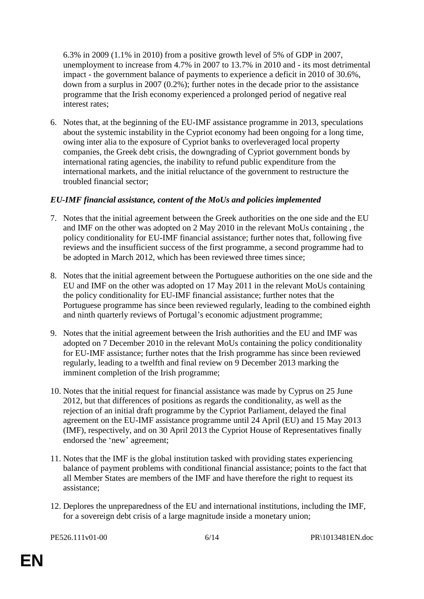6.3% in 2009 (1.1% in 2010) from a positive growth level of 5% of GDP in 2007, unemployment to increase from 4.7% in 2007 to 13.7% in 2010 and - its most detrimental impact - the government balance of payments to experience a deficit in 2010 of 30.6%, down from a surplus in 2007 (0.2%); further notes in the decade prior to the assistance programme that the Irish economy experienced a prolonged period of negative real interest rates;

6. Notes that, at the beginning of the EU-IMF assistance programme in 2013, speculations about the systemic instability in the Cypriot economy had been ongoing for a long time, owing inter alia to the exposure of Cypriot banks to overleveraged local property companies, the Greek debt crisis, the downgrading of Cypriot government bonds by international rating agencies, the inability to refund public expenditure from the international markets, and the initial reluctance of the government to restructure the troubled financial sector;

#### *EU-IMF financial assistance, content of the MoUs and policies implemented*

- 7. Notes that the initial agreement between the Greek authorities on the one side and the EU and IMF on the other was adopted on 2 May 2010 in the relevant MoUs containing , the policy conditionality for EU-IMF financial assistance; further notes that, following five reviews and the insufficient success of the first programme, a second programme had to be adopted in March 2012, which has been reviewed three times since;
- 8. Notes that the initial agreement between the Portuguese authorities on the one side and the EU and IMF on the other was adopted on 17 May 2011 in the relevant MoUs containing the policy conditionality for EU-IMF financial assistance; further notes that the Portuguese programme has since been reviewed regularly, leading to the combined eighth and ninth quarterly reviews of Portugal's economic adjustment programme;
- 9. Notes that the initial agreement between the Irish authorities and the EU and IMF was adopted on 7 December 2010 in the relevant MoUs containing the policy conditionality for EU-IMF assistance; further notes that the Irish programme has since been reviewed regularly, leading to a twelfth and final review on 9 December 2013 marking the imminent completion of the Irish programme;
- 10. Notes that the initial request for financial assistance was made by Cyprus on 25 June 2012, but that differences of positions as regards the conditionality, as well as the rejection of an initial draft programme by the Cypriot Parliament, delayed the final agreement on the EU-IMF assistance programme until 24 April (EU) and 15 May 2013 (IMF), respectively, and on 30 April 2013 the Cypriot House of Representatives finally endorsed the 'new' agreement;
- 11. Notes that the IMF is the global institution tasked with providing states experiencing balance of payment problems with conditional financial assistance; points to the fact that all Member States are members of the IMF and have therefore the right to request its assistance;
- 12. Deplores the unpreparedness of the EU and international institutions, including the IMF, for a sovereign debt crisis of a large magnitude inside a monetary union;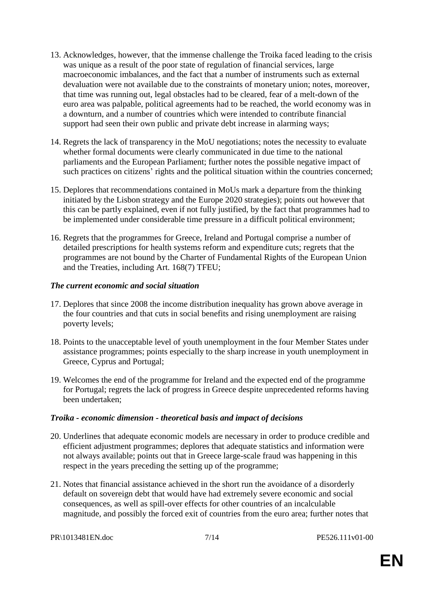- 13. Acknowledges, however, that the immense challenge the Troika faced leading to the crisis was unique as a result of the poor state of regulation of financial services, large macroeconomic imbalances, and the fact that a number of instruments such as external devaluation were not available due to the constraints of monetary union; notes, moreover, that time was running out, legal obstacles had to be cleared, fear of a melt-down of the euro area was palpable, political agreements had to be reached, the world economy was in a downturn, and a number of countries which were intended to contribute financial support had seen their own public and private debt increase in alarming ways;
- 14. Regrets the lack of transparency in the MoU negotiations; notes the necessity to evaluate whether formal documents were clearly communicated in due time to the national parliaments and the European Parliament; further notes the possible negative impact of such practices on citizens' rights and the political situation within the countries concerned;
- 15. Deplores that recommendations contained in MoUs mark a departure from the thinking initiated by the Lisbon strategy and the Europe 2020 strategies); points out however that this can be partly explained, even if not fully justified, by the fact that programmes had to be implemented under considerable time pressure in a difficult political environment;
- 16. Regrets that the programmes for Greece, Ireland and Portugal comprise a number of detailed prescriptions for health systems reform and expenditure cuts; regrets that the programmes are not bound by the Charter of Fundamental Rights of the European Union and the Treaties, including Art. 168(7) TFEU;

#### *The current economic and social situation*

- 17. Deplores that since 2008 the income distribution inequality has grown above average in the four countries and that cuts in social benefits and rising unemployment are raising poverty levels;
- 18. Points to the unacceptable level of youth unemployment in the four Member States under assistance programmes; points especially to the sharp increase in youth unemployment in Greece, Cyprus and Portugal;
- 19. Welcomes the end of the programme for Ireland and the expected end of the programme for Portugal; regrets the lack of progress in Greece despite unprecedented reforms having been undertaken;

#### *Troika - economic dimension - theoretical basis and impact of decisions*

- 20. Underlines that adequate economic models are necessary in order to produce credible and efficient adjustment programmes; deplores that adequate statistics and information were not always available; points out that in Greece large-scale fraud was happening in this respect in the years preceding the setting up of the programme;
- 21. Notes that financial assistance achieved in the short run the avoidance of a disorderly default on sovereign debt that would have had extremely severe economic and social consequences, as well as spill-over effects for other countries of an incalculable magnitude, and possibly the forced exit of countries from the euro area; further notes that

PR\1013481EN.doc 7/14 PE526.111v01-00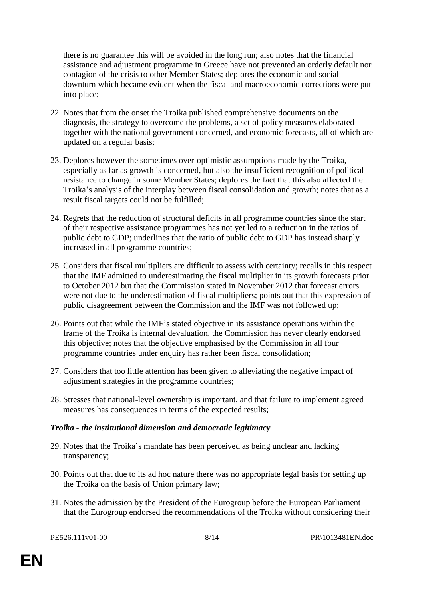there is no guarantee this will be avoided in the long run; also notes that the financial assistance and adjustment programme in Greece have not prevented an orderly default nor contagion of the crisis to other Member States; deplores the economic and social downturn which became evident when the fiscal and macroeconomic corrections were put into place;

- 22. Notes that from the onset the Troika published comprehensive documents on the diagnosis, the strategy to overcome the problems, a set of policy measures elaborated together with the national government concerned, and economic forecasts, all of which are updated on a regular basis;
- 23. Deplores however the sometimes over-optimistic assumptions made by the Troika, especially as far as growth is concerned, but also the insufficient recognition of political resistance to change in some Member States; deplores the fact that this also affected the Troika's analysis of the interplay between fiscal consolidation and growth; notes that as a result fiscal targets could not be fulfilled;
- 24. Regrets that the reduction of structural deficits in all programme countries since the start of their respective assistance programmes has not yet led to a reduction in the ratios of public debt to GDP; underlines that the ratio of public debt to GDP has instead sharply increased in all programme countries;
- 25. Considers that fiscal multipliers are difficult to assess with certainty; recalls in this respect that the IMF admitted to underestimating the fiscal multiplier in its growth forecasts prior to October 2012 but that the Commission stated in November 2012 that forecast errors were not due to the underestimation of fiscal multipliers; points out that this expression of public disagreement between the Commission and the IMF was not followed up;
- 26. Points out that while the IMF's stated objective in its assistance operations within the frame of the Troika is internal devaluation, the Commission has never clearly endorsed this objective; notes that the objective emphasised by the Commission in all four programme countries under enquiry has rather been fiscal consolidation;
- 27. Considers that too little attention has been given to alleviating the negative impact of adjustment strategies in the programme countries;
- 28. Stresses that national-level ownership is important, and that failure to implement agreed measures has consequences in terms of the expected results;

#### *Troika - the institutional dimension and democratic legitimacy*

- 29. Notes that the Troika's mandate has been perceived as being unclear and lacking transparency;
- 30. Points out that due to its ad hoc nature there was no appropriate legal basis for setting up the Troika on the basis of Union primary law;
- 31. Notes the admission by the President of the Eurogroup before the European Parliament that the Eurogroup endorsed the recommendations of the Troika without considering their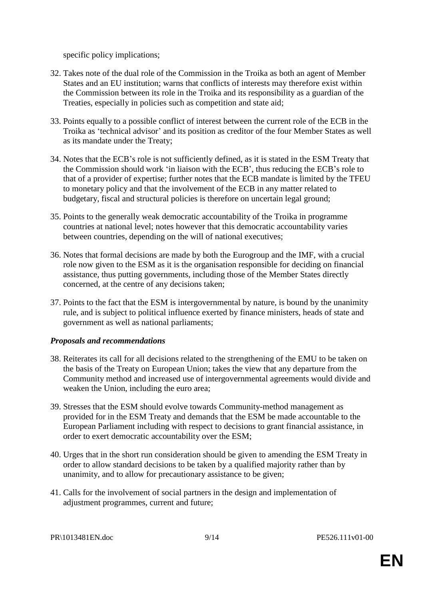specific policy implications;

- 32. Takes note of the dual role of the Commission in the Troika as both an agent of Member States and an EU institution; warns that conflicts of interests may therefore exist within the Commission between its role in the Troika and its responsibility as a guardian of the Treaties, especially in policies such as competition and state aid;
- 33. Points equally to a possible conflict of interest between the current role of the ECB in the Troika as 'technical advisor' and its position as creditor of the four Member States as well as its mandate under the Treaty;
- 34. Notes that the ECB's role is not sufficiently defined, as it is stated in the ESM Treaty that the Commission should work 'in liaison with the ECB', thus reducing the ECB's role to that of a provider of expertise; further notes that the ECB mandate is limited by the TFEU to monetary policy and that the involvement of the ECB in any matter related to budgetary, fiscal and structural policies is therefore on uncertain legal ground;
- 35. Points to the generally weak democratic accountability of the Troika in programme countries at national level; notes however that this democratic accountability varies between countries, depending on the will of national executives;
- 36. Notes that formal decisions are made by both the Eurogroup and the IMF, with a crucial role now given to the ESM as it is the organisation responsible for deciding on financial assistance, thus putting governments, including those of the Member States directly concerned, at the centre of any decisions taken;
- 37. Points to the fact that the ESM is intergovernmental by nature, is bound by the unanimity rule, and is subject to political influence exerted by finance ministers, heads of state and government as well as national parliaments;

#### *Proposals and recommendations*

- 38. Reiterates its call for all decisions related to the strengthening of the EMU to be taken on the basis of the Treaty on European Union; takes the view that any departure from the Community method and increased use of intergovernmental agreements would divide and weaken the Union, including the euro area;
- 39. Stresses that the ESM should evolve towards Community-method management as provided for in the ESM Treaty and demands that the ESM be made accountable to the European Parliament including with respect to decisions to grant financial assistance, in order to exert democratic accountability over the ESM;
- 40. Urges that in the short run consideration should be given to amending the ESM Treaty in order to allow standard decisions to be taken by a qualified majority rather than by unanimity, and to allow for precautionary assistance to be given;
- 41. Calls for the involvement of social partners in the design and implementation of adjustment programmes, current and future;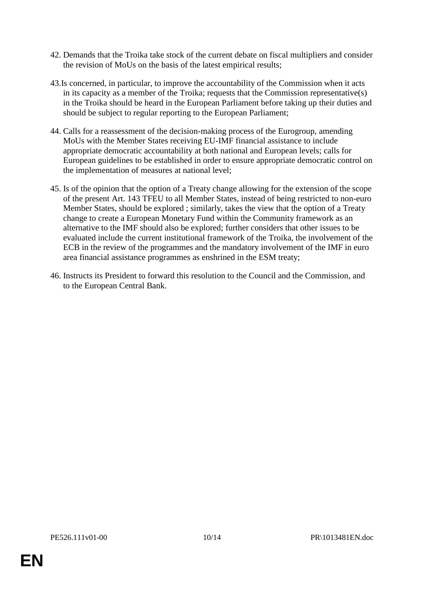- 42. Demands that the Troika take stock of the current debate on fiscal multipliers and consider the revision of MoUs on the basis of the latest empirical results;
- 43.Is concerned, in particular, to improve the accountability of the Commission when it acts in its capacity as a member of the Troika; requests that the Commission representative(s) in the Troika should be heard in the European Parliament before taking up their duties and should be subject to regular reporting to the European Parliament;
- 44. Calls for a reassessment of the decision-making process of the Eurogroup, amending MoUs with the Member States receiving EU-IMF financial assistance to include appropriate democratic accountability at both national and European levels; calls for European guidelines to be established in order to ensure appropriate democratic control on the implementation of measures at national level;
- 45. Is of the opinion that the option of a Treaty change allowing for the extension of the scope of the present Art. 143 TFEU to all Member States, instead of being restricted to non-euro Member States, should be explored ; similarly, takes the view that the option of a Treaty change to create a European Monetary Fund within the Community framework as an alternative to the IMF should also be explored; further considers that other issues to be evaluated include the current institutional framework of the Troika, the involvement of the ECB in the review of the programmes and the mandatory involvement of the IMF in euro area financial assistance programmes as enshrined in the ESM treaty;
- 46. Instructs its President to forward this resolution to the Council and the Commission, and to the European Central Bank.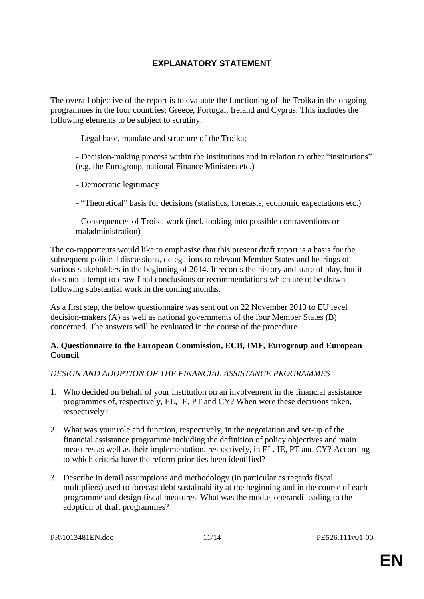## **EXPLANATORY STATEMENT**

The overall objective of the report is to evaluate the functioning of the Troika in the ongoing programmes in the four countries: Greece, Portugal, Ireland and Cyprus. This includes the following elements to be subject to scrutiny:

- Legal base, mandate and structure of the Troika;

- Decision-making process within the institutions and in relation to other "institutions" (e.g. the Eurogroup, national Finance Ministers etc.)

- Democratic legitimacy
- "Theoretical" basis for decisions (statistics, forecasts, economic expectations etc.)

- Consequences of Troika work (incl. looking into possible contraventions or maladministration)

The co-rapporteurs would like to emphasise that this present draft report is a basis for the subsequent political discussions, delegations to relevant Member States and hearings of various stakeholders in the beginning of 2014. It records the history and state of play, but it does not attempt to draw final conclusions or recommendations which are to be drawn following substantial work in the coming months.

As a first step, the below questionnaire was sent out on 22 November 2013 to EU level decision-makers (A) as well as national governments of the four Member States (B) concerned. The answers will be evaluated in the course of the procedure.

#### **A. Questionnaire to the European Commission, ECB, IMF, Eurogroup and European Council**

#### *DESIGN AND ADOPTION OF THE FINANCIAL ASSISTANCE PROGRAMMES*

- 1. Who decided on behalf of your institution on an involvement in the financial assistance programmes of, respectively, EL, IE, PT and CY? When were these decisions taken, respectively?
- 2. What was your role and function, respectively, in the negotiation and set-up of the financial assistance programme including the definition of policy objectives and main measures as well as their implementation, respectively, in EL, IE, PT and CY? According to which criteria have the reform priorities been identified?
- 3. Describe in detail assumptions and methodology (in particular as regards fiscal multipliers) used to forecast debt sustainability at the beginning and in the course of each programme and design fiscal measures. What was the modus operandi leading to the adoption of draft programmes?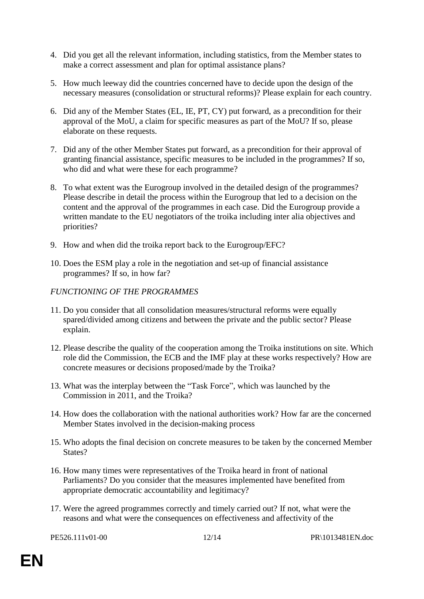- 4. Did you get all the relevant information, including statistics, from the Member states to make a correct assessment and plan for optimal assistance plans?
- 5. How much leeway did the countries concerned have to decide upon the design of the necessary measures (consolidation or structural reforms)? Please explain for each country.
- 6. Did any of the Member States (EL, IE, PT, CY) put forward, as a precondition for their approval of the MoU, a claim for specific measures as part of the MoU? If so, please elaborate on these requests.
- 7. Did any of the other Member States put forward, as a precondition for their approval of granting financial assistance, specific measures to be included in the programmes? If so, who did and what were these for each programme?
- 8. To what extent was the Eurogroup involved in the detailed design of the programmes? Please describe in detail the process within the Eurogroup that led to a decision on the content and the approval of the programmes in each case. Did the Eurogroup provide a written mandate to the EU negotiators of the troika including inter alia objectives and priorities?
- 9. How and when did the troika report back to the Eurogroup/EFC?
- 10. Does the ESM play a role in the negotiation and set-up of financial assistance programmes? If so, in how far?

### *FUNCTIONING OF THE PROGRAMMES*

- 11. Do you consider that all consolidation measures/structural reforms were equally spared/divided among citizens and between the private and the public sector? Please explain.
- 12. Please describe the quality of the cooperation among the Troika institutions on site. Which role did the Commission, the ECB and the IMF play at these works respectively? How are concrete measures or decisions proposed/made by the Troika?
- 13. What was the interplay between the "Task Force", which was launched by the Commission in 2011, and the Troika?
- 14. How does the collaboration with the national authorities work? How far are the concerned Member States involved in the decision-making process
- 15. Who adopts the final decision on concrete measures to be taken by the concerned Member States?
- 16. How many times were representatives of the Troika heard in front of national Parliaments? Do you consider that the measures implemented have benefited from appropriate democratic accountability and legitimacy?
- 17. Were the agreed programmes correctly and timely carried out? If not, what were the reasons and what were the consequences on effectiveness and affectivity of the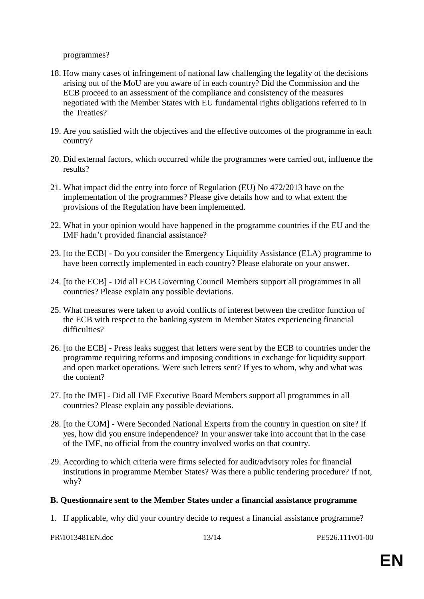programmes?

- 18. How many cases of infringement of national law challenging the legality of the decisions arising out of the MoU are you aware of in each country? Did the Commission and the ECB proceed to an assessment of the compliance and consistency of the measures negotiated with the Member States with EU fundamental rights obligations referred to in the Treaties?
- 19. Are you satisfied with the objectives and the effective outcomes of the programme in each country?
- 20. Did external factors, which occurred while the programmes were carried out, influence the results?
- 21. What impact did the entry into force of Regulation (EU) No 472/2013 have on the implementation of the programmes? Please give details how and to what extent the provisions of the Regulation have been implemented.
- 22. What in your opinion would have happened in the programme countries if the EU and the IMF hadn't provided financial assistance?
- 23. [to the ECB] Do you consider the Emergency Liquidity Assistance (ELA) programme to have been correctly implemented in each country? Please elaborate on your answer.
- 24. [to the ECB] Did all ECB Governing Council Members support all programmes in all countries? Please explain any possible deviations.
- 25. What measures were taken to avoid conflicts of interest between the creditor function of the ECB with respect to the banking system in Member States experiencing financial difficulties?
- 26. [to the ECB] Press leaks suggest that letters were sent by the ECB to countries under the programme requiring reforms and imposing conditions in exchange for liquidity support and open market operations. Were such letters sent? If yes to whom, why and what was the content?
- 27. [to the IMF] Did all IMF Executive Board Members support all programmes in all countries? Please explain any possible deviations.
- 28. [to the COM] Were Seconded National Experts from the country in question on site? If yes, how did you ensure independence? In your answer take into account that in the case of the IMF, no official from the country involved works on that country.
- 29. According to which criteria were firms selected for audit/advisory roles for financial institutions in programme Member States? Was there a public tendering procedure? If not, why?

#### **B. Questionnaire sent to the Member States under a financial assistance programme**

1. If applicable, why did your country decide to request a financial assistance programme?

PR\1013481EN.doc 13/14 PE526.111v01-00